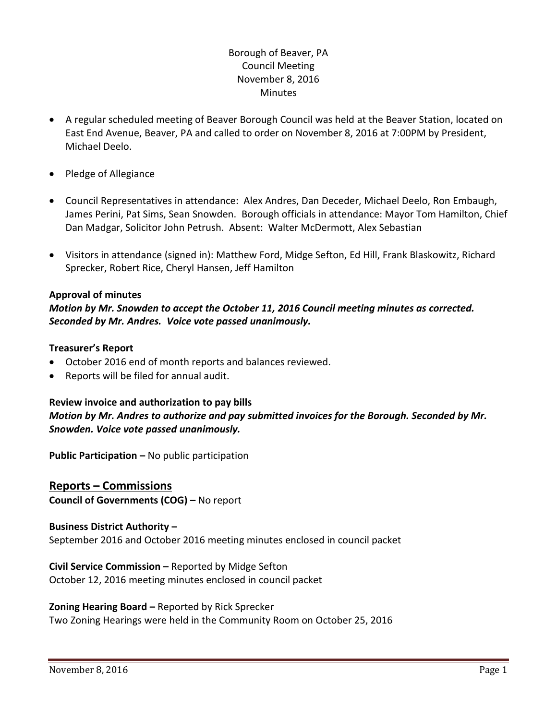# Borough of Beaver, PA Council Meeting November 8, 2016 **Minutes**

- A regular scheduled meeting of Beaver Borough Council was held at the Beaver Station, located on East End Avenue, Beaver, PA and called to order on November 8, 2016 at 7:00PM by President, Michael Deelo.
- Pledge of Allegiance
- Council Representatives in attendance: Alex Andres, Dan Deceder, Michael Deelo, Ron Embaugh, James Perini, Pat Sims, Sean Snowden. Borough officials in attendance: Mayor Tom Hamilton, Chief Dan Madgar, Solicitor John Petrush. Absent: Walter McDermott, Alex Sebastian
- Visitors in attendance (signed in): Matthew Ford, Midge Sefton, Ed Hill, Frank Blaskowitz, Richard Sprecker, Robert Rice, Cheryl Hansen, Jeff Hamilton

### **Approval of minutes**

# *Motion by Mr. Snowden to accept the October 11, 2016 Council meeting minutes as corrected. Seconded by Mr. Andres. Voice vote passed unanimously.*

#### **Treasurer's Report**

- October 2016 end of month reports and balances reviewed.
- Reports will be filed for annual audit.

## **Review invoice and authorization to pay bills** *Motion by Mr. Andres to authorize and pay submitted invoices for the Borough. Seconded by Mr. Snowden. Voice vote passed unanimously.*

**Public Participation –** No public participation

### **Reports – Commissions Council of Governments (COG) –** No report

### **Business District Authority –** September 2016 and October 2016 meeting minutes enclosed in council packet

**Civil Service Commission –** Reported by Midge Sefton October 12, 2016 meeting minutes enclosed in council packet

#### **Zoning Hearing Board –** Reported by Rick Sprecker

Two Zoning Hearings were held in the Community Room on October 25, 2016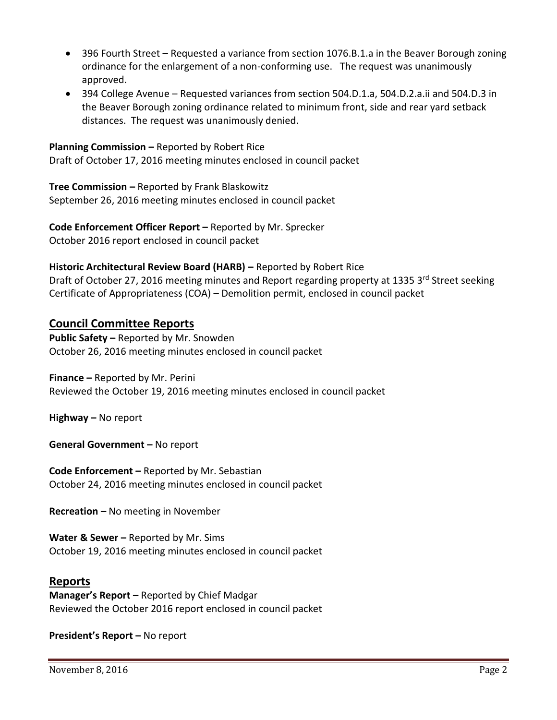- 396 Fourth Street Requested a variance from section 1076.B.1.a in the Beaver Borough zoning ordinance for the enlargement of a non-conforming use. The request was unanimously approved.
- 394 College Avenue Requested variances from section 504.D.1.a, 504.D.2.a.ii and 504.D.3 in the Beaver Borough zoning ordinance related to minimum front, side and rear yard setback distances. The request was unanimously denied.

#### **Planning Commission –** Reported by Robert Rice

Draft of October 17, 2016 meeting minutes enclosed in council packet

**Tree Commission –** Reported by Frank Blaskowitz September 26, 2016 meeting minutes enclosed in council packet

**Code Enforcement Officer Report –** Reported by Mr. Sprecker October 2016 report enclosed in council packet

#### **Historic Architectural Review Board (HARB) –** Reported by Robert Rice

Draft of October 27, 2016 meeting minutes and Report regarding property at 1335 3rd Street seeking Certificate of Appropriateness (COA) – Demolition permit, enclosed in council packet

### **Council Committee Reports**

**Public Safety –** Reported by Mr. Snowden October 26, 2016 meeting minutes enclosed in council packet

**Finance –** Reported by Mr. Perini Reviewed the October 19, 2016 meeting minutes enclosed in council packet

**Highway –** No report

**General Government –** No report

**Code Enforcement –** Reported by Mr. Sebastian October 24, 2016 meeting minutes enclosed in council packet

**Recreation –** No meeting in November

**Water & Sewer –** Reported by Mr. Sims October 19, 2016 meeting minutes enclosed in council packet

## **Reports**

**Manager's Report –** Reported by Chief Madgar Reviewed the October 2016 report enclosed in council packet

**President's Report –** No report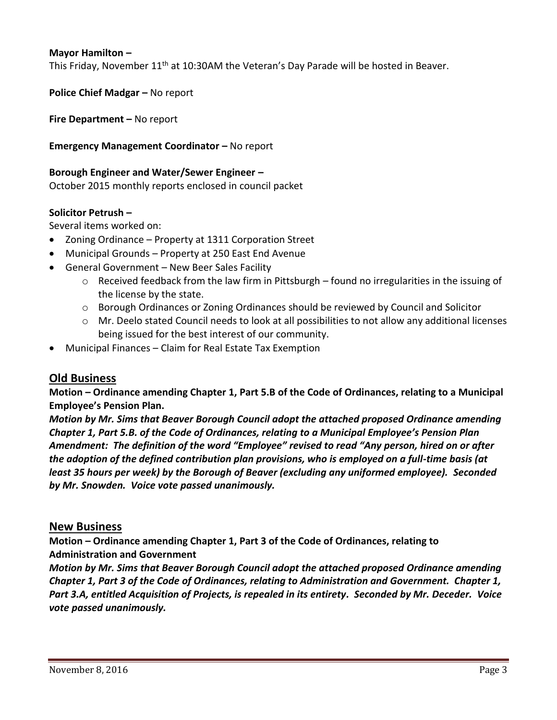#### **Mayor Hamilton –**

This Friday, November 11<sup>th</sup> at 10:30AM the Veteran's Day Parade will be hosted in Beaver.

**Police Chief Madgar – No report** 

**Fire Department –** No report

#### **Emergency Management Coordinator – No report**

#### **Borough Engineer and Water/Sewer Engineer –**

October 2015 monthly reports enclosed in council packet

#### **Solicitor Petrush –**

Several items worked on:

- Zoning Ordinance Property at 1311 Corporation Street
- Municipal Grounds Property at 250 East End Avenue
- General Government New Beer Sales Facility
	- $\circ$  Received feedback from the law firm in Pittsburgh found no irregularities in the issuing of the license by the state.
	- o Borough Ordinances or Zoning Ordinances should be reviewed by Council and Solicitor
	- o Mr. Deelo stated Council needs to look at all possibilities to not allow any additional licenses being issued for the best interest of our community.
- Municipal Finances Claim for Real Estate Tax Exemption

## **Old Business**

**Motion – Ordinance amending Chapter 1, Part 5.B of the Code of Ordinances, relating to a Municipal Employee's Pension Plan.**

*Motion by Mr. Sims that Beaver Borough Council adopt the attached proposed Ordinance amending Chapter 1, Part 5.B. of the Code of Ordinances, relating to a Municipal Employee's Pension Plan Amendment: The definition of the word "Employee" revised to read "Any person, hired on or after the adoption of the defined contribution plan provisions, who is employed on a full-time basis (at least 35 hours per week) by the Borough of Beaver (excluding any uniformed employee). Seconded by Mr. Snowden. Voice vote passed unanimously.*

#### **New Business**

**Motion – Ordinance amending Chapter 1, Part 3 of the Code of Ordinances, relating to Administration and Government**

*Motion by Mr. Sims that Beaver Borough Council adopt the attached proposed Ordinance amending Chapter 1, Part 3 of the Code of Ordinances, relating to Administration and Government. Chapter 1, Part 3.A, entitled Acquisition of Projects, is repealed in its entirety. Seconded by Mr. Deceder. Voice vote passed unanimously.*